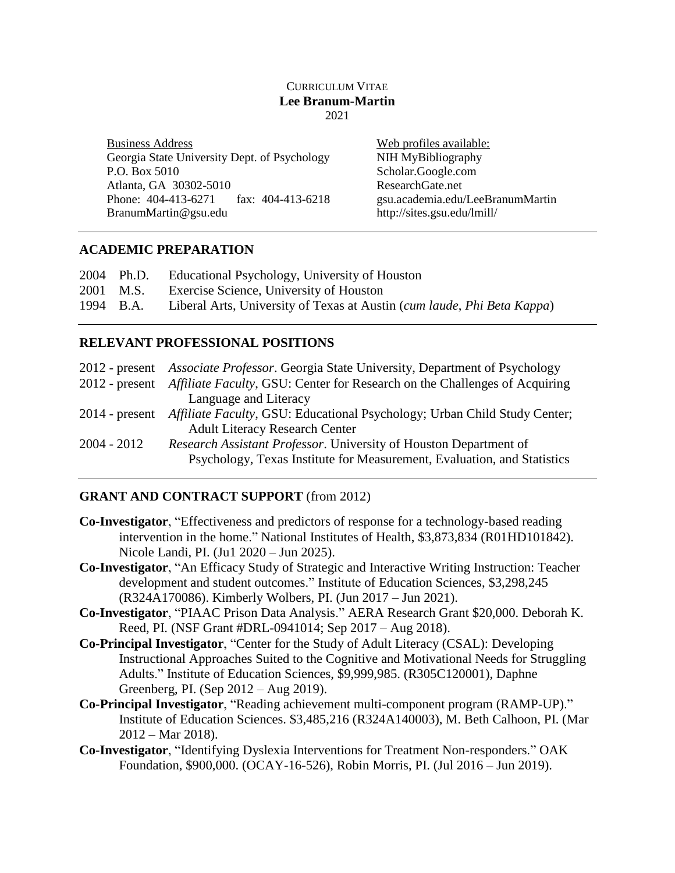#### CURRICULUM VITAE **Lee Branum-Martin** 2021

Business Address Web profiles available: Georgia State University Dept. of Psychology NIH MyBibliography P.O. Box 5010 Scholar.Google.com Atlanta, GA 30302-5010 ResearchGate.net Phone: 404-413-6271 fax: 404-413-6218 gsu.academia.edu/LeeBranumMartin BranumMartin@gsu.edu http://sites.gsu.edu/lmill/

### **ACADEMIC PREPARATION**

| 2004 Ph.D. | Educational Psychology, University of Houston                                    |
|------------|----------------------------------------------------------------------------------|
| 2001 M.S.  | Exercise Science, University of Houston                                          |
| 1994 B.A.  | Liberal Arts, University of Texas at Austin ( <i>cum laude, Phi Beta Kappa</i> ) |

## **RELEVANT PROFESSIONAL POSITIONS**

2012 - present *Associate Professor*. Georgia State University, Department of Psychology 2012 - present *Affiliate Faculty*, GSU: Center for Research on the Challenges of Acquiring Language and Literacy 2014 - present *Affiliate Faculty*, GSU: Educational Psychology; Urban Child Study Center; Adult Literacy Research Center 2004 - 2012 *Research Assistant Professor*. University of Houston Department of Psychology, Texas Institute for Measurement, Evaluation, and Statistics

## **GRANT AND CONTRACT SUPPORT** (from 2012)

- **Co-Investigator**, "Effectiveness and predictors of response for a technology-based reading intervention in the home." National Institutes of Health, \$3,873,834 (R01HD101842). Nicole Landi, PI. (Ju1 2020 – Jun 2025).
- **Co-Investigator**, "An Efficacy Study of Strategic and Interactive Writing Instruction: Teacher development and student outcomes." Institute of Education Sciences, \$3,298,245 (R324A170086). Kimberly Wolbers, PI. (Jun 2017 – Jun 2021).
- **Co-Investigator**, "PIAAC Prison Data Analysis." AERA Research Grant \$20,000. Deborah K. Reed, PI. (NSF Grant #DRL-0941014; Sep 2017 – Aug 2018).
- **Co-Principal Investigator**, "Center for the Study of Adult Literacy (CSAL): Developing Instructional Approaches Suited to the Cognitive and Motivational Needs for Struggling Adults." Institute of Education Sciences, \$9,999,985. (R305C120001), Daphne Greenberg, PI. (Sep 2012 – Aug 2019).
- **Co-Principal Investigator**, "Reading achievement multi-component program (RAMP-UP)." Institute of Education Sciences. \$3,485,216 (R324A140003), M. Beth Calhoon, PI. (Mar  $2012 - \text{Mar } 2018$ .
- **Co-Investigator**, "Identifying Dyslexia Interventions for Treatment Non-responders." OAK Foundation, \$900,000. (OCAY-16-526), Robin Morris, PI. (Jul 2016 – Jun 2019).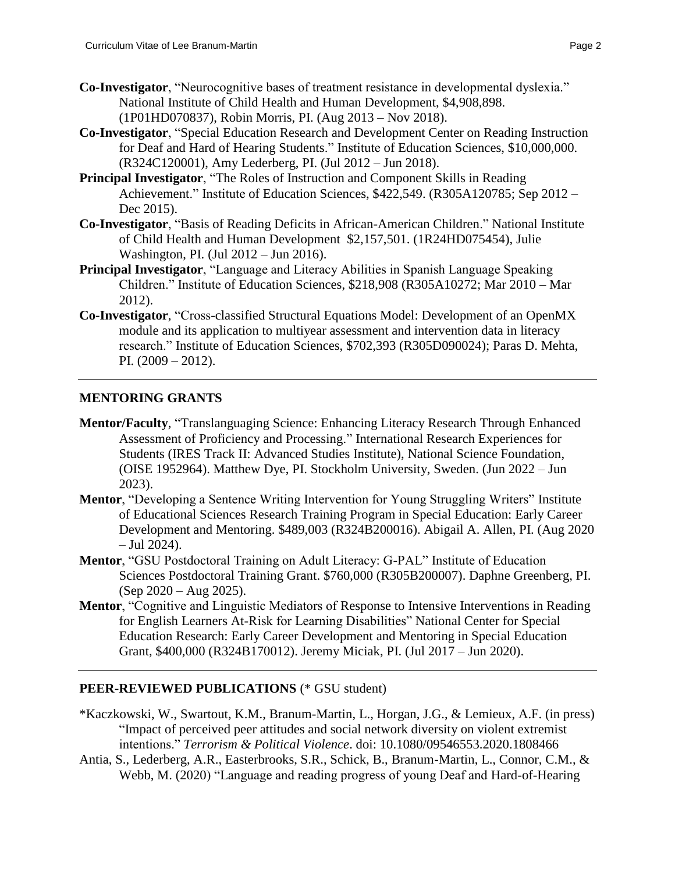- **Co-Investigator**, "Neurocognitive bases of treatment resistance in developmental dyslexia." National Institute of Child Health and Human Development, \$4,908,898. (1P01HD070837), Robin Morris, PI. (Aug 2013 – Nov 2018).
- **Co-Investigator**, "Special Education Research and Development Center on Reading Instruction for Deaf and Hard of Hearing Students." Institute of Education Sciences, \$10,000,000. (R324C120001), Amy Lederberg, PI. (Jul 2012 – Jun 2018).
- **Principal Investigator**, "The Roles of Instruction and Component Skills in Reading Achievement." Institute of Education Sciences, \$422,549. (R305A120785; Sep 2012 – Dec 2015).
- **Co-Investigator**, "Basis of Reading Deficits in African-American Children." National Institute of Child Health and Human Development \$2,157,501. (1R24HD075454), Julie Washington, PI. (Jul 2012 – Jun 2016).
- **Principal Investigator**, "Language and Literacy Abilities in Spanish Language Speaking Children." Institute of Education Sciences, \$218,908 (R305A10272; Mar 2010 – Mar 2012).
- **Co-Investigator**, "Cross-classified Structural Equations Model: Development of an OpenMX module and its application to multiyear assessment and intervention data in literacy research." Institute of Education Sciences, \$702,393 (R305D090024); Paras D. Mehta, PI. (2009 – 2012).

### **MENTORING GRANTS**

- **Mentor/Faculty**, "Translanguaging Science: Enhancing Literacy Research Through Enhanced Assessment of Proficiency and Processing." International Research Experiences for Students (IRES Track II: Advanced Studies Institute), National Science Foundation, (OISE 1952964). Matthew Dye, PI. Stockholm University, Sweden. (Jun 2022 – Jun 2023).
- **Mentor**, "Developing a Sentence Writing Intervention for Young Struggling Writers" Institute of Educational Sciences Research Training Program in Special Education: Early Career Development and Mentoring. \$489,003 (R324B200016). Abigail A. Allen, PI. (Aug 2020 – Jul 2024).
- **Mentor**, "GSU Postdoctoral Training on Adult Literacy: G-PAL" Institute of Education Sciences Postdoctoral Training Grant. \$760,000 (R305B200007). Daphne Greenberg, PI. (Sep 2020 – Aug 2025).
- **Mentor**, "Cognitive and Linguistic Mediators of Response to Intensive Interventions in Reading for English Learners At-Risk for Learning Disabilities" National Center for Special Education Research: Early Career Development and Mentoring in Special Education Grant, \$400,000 (R324B170012). Jeremy Miciak, PI. (Jul 2017 – Jun 2020).

## **PEER-REVIEWED PUBLICATIONS** (\* GSU student)

- \*Kaczkowski, W., Swartout, K.M., Branum-Martin, L., Horgan, J.G., & Lemieux, A.F. (in press) "Impact of perceived peer attitudes and social network diversity on violent extremist intentions." *Terrorism & Political Violence*. doi: 10.1080/09546553.2020.1808466
- Antia, S., Lederberg, A.R., Easterbrooks, S.R., Schick, B., Branum-Martin, L., Connor, C.M., & Webb, M. (2020) "Language and reading progress of young Deaf and Hard-of-Hearing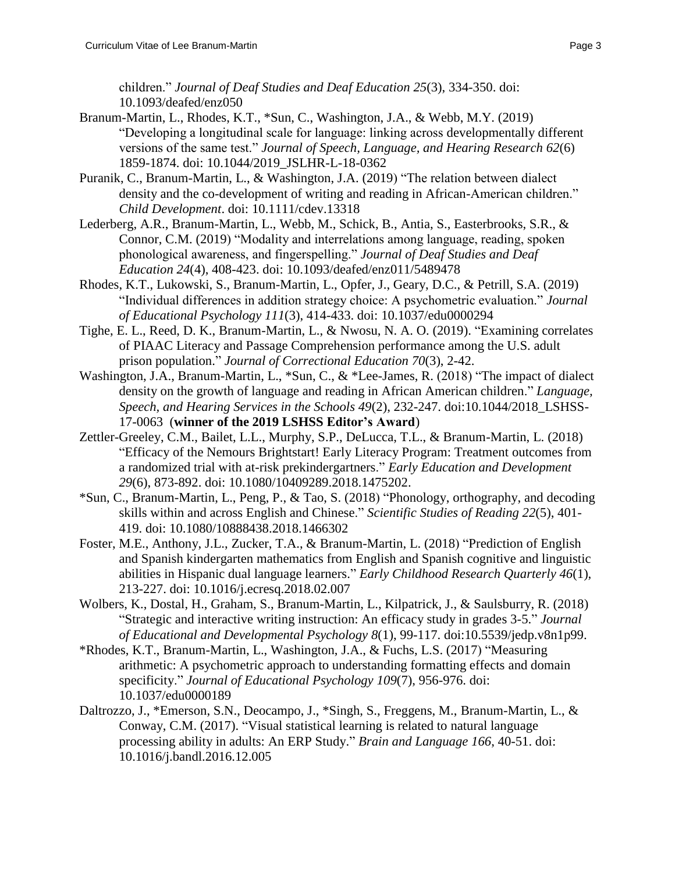children." *Journal of Deaf Studies and Deaf Education 25*(3), 334-350. doi: 10.1093/deafed/enz050

- Branum-Martin, L., Rhodes, K.T., \*Sun, C., Washington, J.A., & Webb, M.Y. (2019) "Developing a longitudinal scale for language: linking across developmentally different versions of the same test." *Journal of Speech, Language, and Hearing Research 62*(6) 1859-1874. doi: 10.1044/2019\_JSLHR-L-18-0362
- Puranik, C., Branum-Martin, L., & Washington, J.A. (2019) "The relation between dialect density and the co-development of writing and reading in African-American children." *Child Development*. doi: 10.1111/cdev.13318
- Lederberg, A.R., Branum-Martin, L., Webb, M., Schick, B., Antia, S., Easterbrooks, S.R., & Connor, C.M. (2019) "Modality and interrelations among language, reading, spoken phonological awareness, and fingerspelling." *Journal of Deaf Studies and Deaf Education 24*(4), 408-423. doi: 10.1093/deafed/enz011/5489478
- Rhodes, K.T., Lukowski, S., Branum-Martin, L., Opfer, J., Geary, D.C., & Petrill, S.A. (2019) "Individual differences in addition strategy choice: A psychometric evaluation." *Journal of Educational Psychology 111*(3), 414-433. doi: 10.1037/edu0000294
- Tighe, E. L., Reed, D. K., Branum-Martin, L., & Nwosu, N. A. O. (2019). "Examining correlates of PIAAC Literacy and Passage Comprehension performance among the U.S. adult prison population." *Journal of Correctional Education 70*(3), 2-42.
- Washington, J.A., Branum-Martin, L., \*Sun, C., & \*Lee-James, R. (2018) "The impact of dialect density on the growth of language and reading in African American children." *Language, Speech, and Hearing Services in the Schools 49*(2), 232-247. doi:10.1044/2018\_LSHSS-17-0063 (**winner of the 2019 LSHSS Editor's Award**)
- Zettler-Greeley, C.M., Bailet, L.L., Murphy, S.P., DeLucca, T.L., & Branum-Martin, L. (2018) "Efficacy of the Nemours Brightstart! Early Literacy Program: Treatment outcomes from a randomized trial with at-risk prekindergartners." *Early Education and Development 29*(6), 873-892. doi: 10.1080/10409289.2018.1475202.
- \*Sun, C., Branum-Martin, L., Peng, P., & Tao, S. (2018) "Phonology, orthography, and decoding skills within and across English and Chinese." *Scientific Studies of Reading 22*(5), 401- 419. doi: 10.1080/10888438.2018.1466302
- Foster, M.E., Anthony, J.L., Zucker, T.A., & Branum-Martin, L. (2018) "Prediction of English and Spanish kindergarten mathematics from English and Spanish cognitive and linguistic abilities in Hispanic dual language learners." *Early Childhood Research Quarterly 46*(1), 213-227. doi: 10.1016/j.ecresq.2018.02.007
- Wolbers, K., Dostal, H., Graham, S., Branum-Martin, L., Kilpatrick, J., & Saulsburry, R. (2018) "Strategic and interactive writing instruction: An efficacy study in grades 3-5." *Journal of Educational and Developmental Psychology 8*(1), 99-117. doi:10.5539/jedp.v8n1p99.
- \*Rhodes, K.T., Branum-Martin, L., Washington, J.A., & Fuchs, L.S. (2017) "Measuring arithmetic: A psychometric approach to understanding formatting effects and domain specificity." *Journal of Educational Psychology 109*(7), 956-976. doi: 10.1037/edu0000189
- Daltrozzo, J., \*Emerson, S.N., Deocampo, J., \*Singh, S., Freggens, M., Branum-Martin, L., & Conway, C.M. (2017). "Visual statistical learning is related to natural language processing ability in adults: An ERP Study." *Brain and Language 166*, 40-51. doi: 10.1016/j.bandl.2016.12.005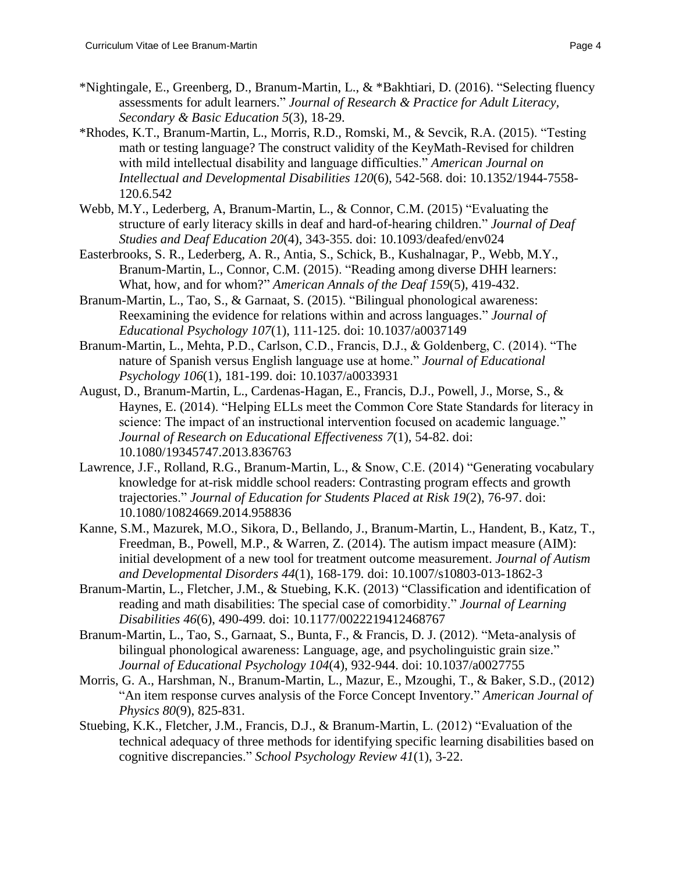- \*Nightingale, E., Greenberg, D., Branum-Martin, L., & \*Bakhtiari, D. (2016). "Selecting fluency assessments for adult learners." *Journal of Research & Practice for Adult Literacy, Secondary & Basic Education 5*(3), 18-29.
- \*Rhodes, K.T., Branum-Martin, L., Morris, R.D., Romski, M., & Sevcik, R.A. (2015). "Testing math or testing language? The construct validity of the KeyMath-Revised for children with mild intellectual disability and language difficulties." *American Journal on Intellectual and Developmental Disabilities 120*(6), 542-568. doi: 10.1352/1944-7558- 120.6.542
- Webb, M.Y., Lederberg, A, Branum-Martin, L., & Connor, C.M. (2015) "Evaluating the structure of early literacy skills in deaf and hard-of-hearing children." *Journal of Deaf Studies and Deaf Education 20*(4), 343-355*.* doi: 10.1093/deafed/env024
- Easterbrooks, S. R., Lederberg, A. R., Antia, S., Schick, B., Kushalnagar, P., Webb, M.Y., Branum-Martin, L., Connor, C.M. (2015). "Reading among diverse DHH learners: What, how, and for whom?" *American Annals of the Deaf 159*(5), 419-432.
- Branum-Martin, L., Tao, S., & Garnaat, S. (2015). "Bilingual phonological awareness: Reexamining the evidence for relations within and across languages." *Journal of Educational Psychology 107*(1), 111-125. doi: 10.1037/a0037149
- Branum-Martin, L., Mehta, P.D., Carlson, C.D., Francis, D.J., & Goldenberg, C. (2014). "The nature of Spanish versus English language use at home." *Journal of Educational Psychology 106*(1), 181-199. doi: 10.1037/a0033931
- August, D., Branum-Martin, L., Cardenas-Hagan, E., Francis, D.J., Powell, J., Morse, S., & Haynes, E. (2014). "Helping ELLs meet the Common Core State Standards for literacy in science: The impact of an instructional intervention focused on academic language." *Journal of Research on Educational Effectiveness 7*(1), 54-82. doi: 10.1080/19345747.2013.836763
- Lawrence, J.F., Rolland, R.G., Branum-Martin, L., & Snow, C.E. (2014) "Generating vocabulary knowledge for at-risk middle school readers: Contrasting program effects and growth trajectories." *Journal of Education for Students Placed at Risk 19*(2), 76-97. doi: 10.1080/10824669.2014.958836
- Kanne, S.M., Mazurek, M.O., Sikora, D., Bellando, J., Branum-Martin, L., Handent, B., Katz, T., Freedman, B., Powell, M.P., & Warren, Z. (2014). The autism impact measure (AIM): initial development of a new tool for treatment outcome measurement. *Journal of Autism and Developmental Disorders 44*(1), 168-179*.* doi: 10.1007/s10803-013-1862-3
- Branum-Martin, L., Fletcher, J.M., & Stuebing, K.K. (2013) "Classification and identification of reading and math disabilities: The special case of comorbidity." *Journal of Learning Disabilities 46*(6), 490-499*.* doi: 10.1177/0022219412468767
- Branum-Martin, L., Tao, S., Garnaat, S., Bunta, F., & Francis, D. J. (2012). "Meta-analysis of bilingual phonological awareness: Language, age, and psycholinguistic grain size." *Journal of Educational Psychology 104*(4), 932-944. doi: 10.1037/a0027755
- Morris, G. A., Harshman, N., Branum-Martin, L., Mazur, E., Mzoughi, T., & Baker, S.D., (2012) "An item response curves analysis of the Force Concept Inventory." *American Journal of Physics 80*(9), 825-831*.*
- Stuebing, K.K., Fletcher, J.M., Francis, D.J., & Branum-Martin, L. (2012) "Evaluation of the technical adequacy of three methods for identifying specific learning disabilities based on cognitive discrepancies." *School Psychology Review 41*(1), 3-22.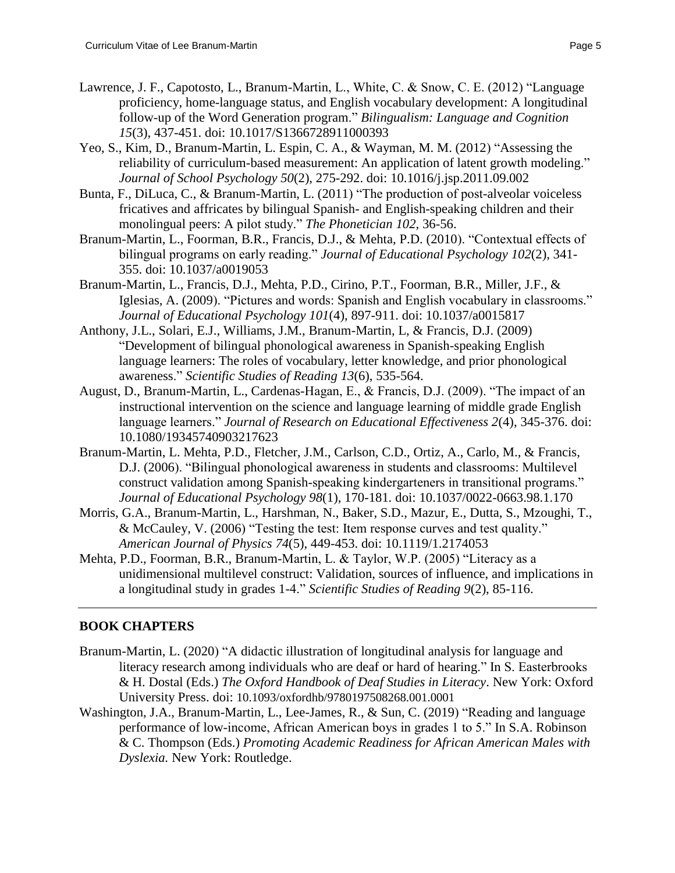- Lawrence, J. F., Capotosto, L., Branum-Martin, L., White, C. & Snow, C. E. (2012) "Language proficiency, home-language status, and English vocabulary development: A longitudinal follow-up of the Word Generation program." *Bilingualism: Language and Cognition 15*(3), 437-451. doi: 10.1017/S1366728911000393
- Yeo, S., Kim, D., Branum-Martin, L. Espin, C. A., & Wayman, M. M. (2012) "Assessing the reliability of curriculum-based measurement: An application of latent growth modeling." *Journal of School Psychology 50*(2), 275-292. doi: 10.1016/j.jsp.2011.09.002
- Bunta, F., DiLuca, C., & Branum-Martin, L. (2011) "The production of post-alveolar voiceless fricatives and affricates by bilingual Spanish- and English-speaking children and their monolingual peers: A pilot study." *The Phonetician 102*, 36-56.
- Branum-Martin, L., Foorman, B.R., Francis, D.J., & Mehta, P.D. (2010). "Contextual effects of bilingual programs on early reading." *Journal of Educational Psychology 102*(2), 341- 355. doi: 10.1037/a0019053
- Branum-Martin, L., Francis, D.J., Mehta, P.D., Cirino, P.T., Foorman, B.R., Miller, J.F., & Iglesias, A. (2009). "Pictures and words: Spanish and English vocabulary in classrooms." *Journal of Educational Psychology 101*(4), 897-911. doi: 10.1037/a0015817
- Anthony, J.L., Solari, E.J., Williams, J.M., Branum-Martin, L, & Francis, D.J. (2009) "Development of bilingual phonological awareness in Spanish-speaking English language learners: The roles of vocabulary, letter knowledge, and prior phonological awareness." *Scientific Studies of Reading 13*(6), 535-564.
- August, D., Branum-Martin, L., Cardenas-Hagan, E., & Francis, D.J. (2009). "The impact of an instructional intervention on the science and language learning of middle grade English language learners." *Journal of Research on Educational Effectiveness 2*(4), 345-376. doi: 10.1080/19345740903217623
- Branum-Martin, L. Mehta, P.D., Fletcher, J.M., Carlson, C.D., Ortiz, A., Carlo, M., & Francis, D.J. (2006). "Bilingual phonological awareness in students and classrooms: Multilevel construct validation among Spanish-speaking kindergarteners in transitional programs." *Journal of Educational Psychology 98*(1), 170-181*.* doi: 10.1037/0022-0663.98.1.170
- Morris, G.A., Branum-Martin, L., Harshman, N., Baker, S.D., Mazur, E., Dutta, S., Mzoughi, T., & McCauley, V. (2006) "Testing the test: Item response curves and test quality." *American Journal of Physics 74*(5), 449-453. doi: 10.1119/1.2174053
- Mehta, P.D., Foorman, B.R., Branum-Martin, L. & Taylor, W.P. (2005) "Literacy as a unidimensional multilevel construct: Validation, sources of influence, and implications in a longitudinal study in grades 1-4." *Scientific Studies of Reading 9*(2), 85-116.

## **BOOK CHAPTERS**

- Branum-Martin, L. (2020) "A didactic illustration of longitudinal analysis for language and literacy research among individuals who are deaf or hard of hearing." In S. Easterbrooks & H. Dostal (Eds.) *The Oxford Handbook of Deaf Studies in Literacy*. New York: Oxford University Press. doi: 10.1093/oxfordhb/9780197508268.001.0001
- Washington, J.A., Branum-Martin, L., Lee-James, R., & Sun, C. (2019) "Reading and language performance of low-income, African American boys in grades 1 to 5." In S.A. Robinson & C. Thompson (Eds.) *Promoting Academic Readiness for African American Males with Dyslexia.* New York: Routledge.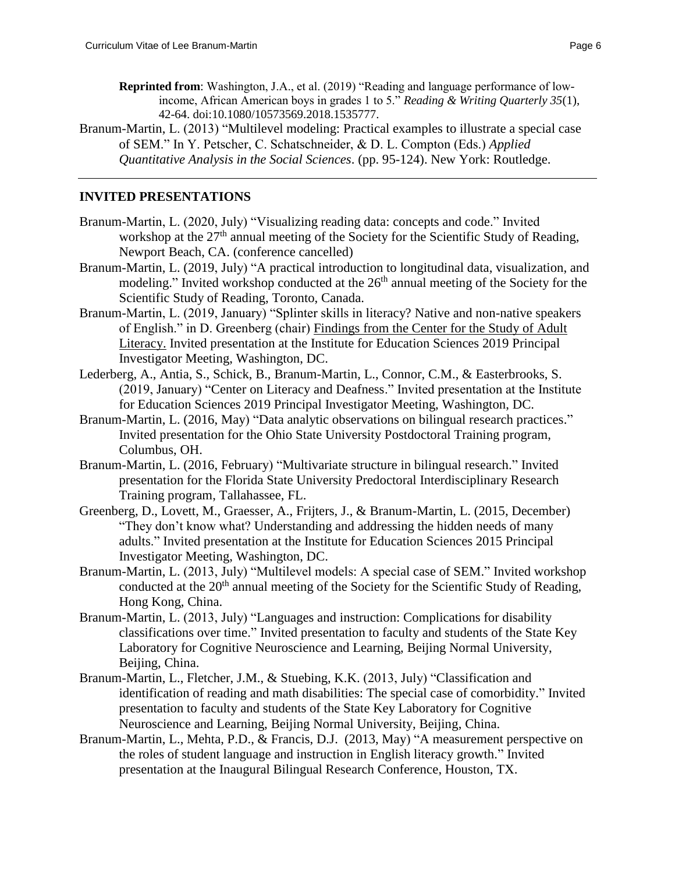- **Reprinted from**: Washington, J.A., et al. (2019) "Reading and language performance of lowincome, African American boys in grades 1 to 5." *Reading & Writing Quarterly 35*(1), 42-64. doi:10.1080/10573569.2018.1535777.
- Branum-Martin, L. (2013) "Multilevel modeling: Practical examples to illustrate a special case of SEM." In Y. Petscher, C. Schatschneider, & D. L. Compton (Eds.) *Applied Quantitative Analysis in the Social Sciences*. (pp. 95-124). New York: Routledge.

### **INVITED PRESENTATIONS**

- Branum-Martin, L. (2020, July) "Visualizing reading data: concepts and code." Invited workshop at the 27<sup>th</sup> annual meeting of the Society for the Scientific Study of Reading, Newport Beach, CA. (conference cancelled)
- Branum-Martin, L. (2019, July) "A practical introduction to longitudinal data, visualization, and modeling." Invited workshop conducted at the  $26<sup>th</sup>$  annual meeting of the Society for the Scientific Study of Reading, Toronto, Canada.
- Branum-Martin, L. (2019, January) "Splinter skills in literacy? Native and non-native speakers of English." in D. Greenberg (chair) Findings from the Center for the Study of Adult Literacy. Invited presentation at the Institute for Education Sciences 2019 Principal Investigator Meeting, Washington, DC.
- Lederberg, A., Antia, S., Schick, B., Branum-Martin, L., Connor, C.M., & Easterbrooks, S. (2019, January) "Center on Literacy and Deafness." Invited presentation at the Institute for Education Sciences 2019 Principal Investigator Meeting, Washington, DC.
- Branum-Martin, L. (2016, May) "Data analytic observations on bilingual research practices." Invited presentation for the Ohio State University Postdoctoral Training program, Columbus, OH.
- Branum-Martin, L. (2016, February) "Multivariate structure in bilingual research." Invited presentation for the Florida State University Predoctoral Interdisciplinary Research Training program, Tallahassee, FL.
- Greenberg, D., Lovett, M., Graesser, A., Frijters, J., & Branum-Martin, L. (2015, December) "They don't know what? Understanding and addressing the hidden needs of many adults." Invited presentation at the Institute for Education Sciences 2015 Principal Investigator Meeting, Washington, DC.
- Branum-Martin, L. (2013, July) "Multilevel models: A special case of SEM." Invited workshop conducted at the  $20<sup>th</sup>$  annual meeting of the Society for the Scientific Study of Reading, Hong Kong, China.
- Branum-Martin, L. (2013, July) "Languages and instruction: Complications for disability classifications over time." Invited presentation to faculty and students of the State Key Laboratory for Cognitive Neuroscience and Learning, Beijing Normal University, Beijing, China.
- Branum-Martin, L., Fletcher, J.M., & Stuebing, K.K. (2013, July) "Classification and identification of reading and math disabilities: The special case of comorbidity." Invited presentation to faculty and students of the State Key Laboratory for Cognitive Neuroscience and Learning, Beijing Normal University, Beijing, China.
- Branum-Martin, L., Mehta, P.D., & Francis, D.J. (2013, May) "A measurement perspective on the roles of student language and instruction in English literacy growth." Invited presentation at the Inaugural Bilingual Research Conference, Houston, TX.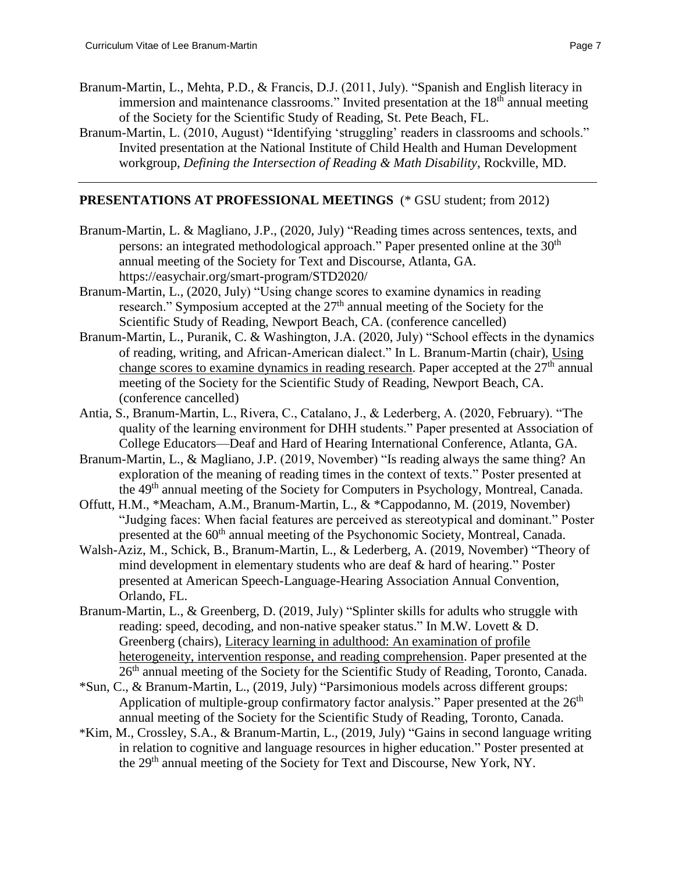- Branum-Martin, L., Mehta, P.D., & Francis, D.J. (2011, July). "Spanish and English literacy in immersion and maintenance classrooms." Invited presentation at the  $18<sup>th</sup>$  annual meeting of the Society for the Scientific Study of Reading, St. Pete Beach, FL.
- Branum-Martin, L. (2010, August) "Identifying 'struggling' readers in classrooms and schools." Invited presentation at the National Institute of Child Health and Human Development workgroup, *Defining the Intersection of Reading & Math Disability*, Rockville, MD.

## **PRESENTATIONS AT PROFESSIONAL MEETINGS** (\* GSU student; from 2012)

- Branum-Martin, L. & Magliano, J.P., (2020, July) "Reading times across sentences, texts, and persons: an integrated methodological approach." Paper presented online at the  $30<sup>th</sup>$ annual meeting of the Society for Text and Discourse, Atlanta, GA. https://easychair.org/smart-program/STD2020/
- Branum-Martin, L., (2020, July) "Using change scores to examine dynamics in reading research." Symposium accepted at the 27<sup>th</sup> annual meeting of the Society for the Scientific Study of Reading, Newport Beach, CA. (conference cancelled)
- Branum-Martin, L., Puranik, C. & Washington, J.A. (2020, July) "School effects in the dynamics of reading, writing, and African-American dialect." In L. Branum-Martin (chair), Using change scores to examine dynamics in reading research. Paper accepted at the  $27<sup>th</sup>$  annual meeting of the Society for the Scientific Study of Reading, Newport Beach, CA. (conference cancelled)
- Antia, S., Branum-Martin, L., Rivera, C., Catalano, J., & Lederberg, A. (2020, February). "The quality of the learning environment for DHH students." Paper presented at Association of College Educators—Deaf and Hard of Hearing International Conference, Atlanta, GA.
- Branum-Martin, L., & Magliano, J.P. (2019, November) "Is reading always the same thing? An exploration of the meaning of reading times in the context of texts." Poster presented at the 49th annual meeting of the Society for Computers in Psychology, Montreal, Canada.
- Offutt, H.M., \*Meacham, A.M., Branum-Martin, L., & \*Cappodanno, M. (2019, November) "Judging faces: When facial features are perceived as stereotypical and dominant." Poster presented at the 60<sup>th</sup> annual meeting of the Psychonomic Society, Montreal, Canada.
- Walsh-Aziz, M., Schick, B., Branum-Martin, L., & Lederberg, A. (2019, November) "Theory of mind development in elementary students who are deaf & hard of hearing." Poster presented at American Speech-Language-Hearing Association Annual Convention, Orlando, FL.
- Branum-Martin, L., & Greenberg, D. (2019, July) "Splinter skills for adults who struggle with reading: speed, decoding, and non-native speaker status." In M.W. Lovett & D. Greenberg (chairs), Literacy learning in adulthood: An examination of profile heterogeneity, intervention response, and reading comprehension. Paper presented at the 26<sup>th</sup> annual meeting of the Society for the Scientific Study of Reading, Toronto, Canada.
- \*Sun, C., & Branum-Martin, L., (2019, July) "Parsimonious models across different groups: Application of multiple-group confirmatory factor analysis." Paper presented at the 26<sup>th</sup> annual meeting of the Society for the Scientific Study of Reading, Toronto, Canada.
- \*Kim, M., Crossley, S.A., & Branum-Martin, L., (2019, July) "Gains in second language writing in relation to cognitive and language resources in higher education." Poster presented at the 29<sup>th</sup> annual meeting of the Society for Text and Discourse, New York, NY.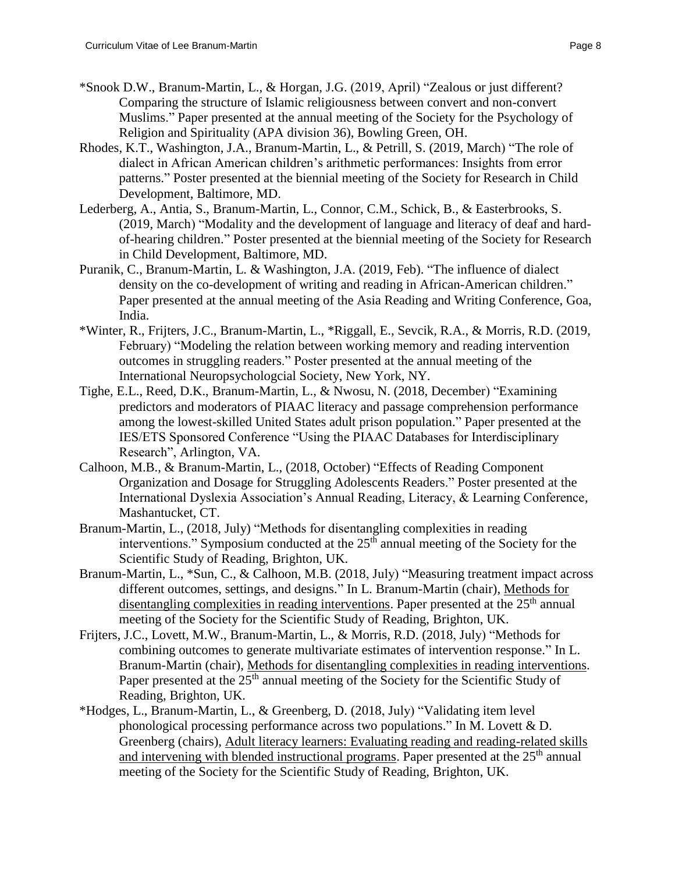- \*Snook D.W., Branum-Martin, L., & Horgan, J.G. (2019, April) "Zealous or just different? Comparing the structure of Islamic religiousness between convert and non-convert Muslims." Paper presented at the annual meeting of the Society for the Psychology of Religion and Spirituality (APA division 36), Bowling Green, OH.
- Rhodes, K.T., Washington, J.A., Branum-Martin, L., & Petrill, S. (2019, March) "The role of dialect in African American children's arithmetic performances: Insights from error patterns." Poster presented at the biennial meeting of the Society for Research in Child Development, Baltimore, MD.
- Lederberg, A., Antia, S., Branum-Martin, L., Connor, C.M., Schick, B., & Easterbrooks, S. (2019, March) "Modality and the development of language and literacy of deaf and hardof-hearing children." Poster presented at the biennial meeting of the Society for Research in Child Development, Baltimore, MD.
- Puranik, C., Branum-Martin, L. & Washington, J.A. (2019, Feb). "The influence of dialect density on the co-development of writing and reading in African-American children." Paper presented at the annual meeting of the Asia Reading and Writing Conference, Goa, India.
- \*Winter, R., Frijters, J.C., Branum-Martin, L., \*Riggall, E., Sevcik, R.A., & Morris, R.D. (2019, February) "Modeling the relation between working memory and reading intervention outcomes in struggling readers." Poster presented at the annual meeting of the International Neuropsychologcial Society, New York, NY.
- Tighe, E.L., Reed, D.K., Branum-Martin, L., & Nwosu, N. (2018, December) "Examining predictors and moderators of PIAAC literacy and passage comprehension performance among the lowest-skilled United States adult prison population." Paper presented at the IES/ETS Sponsored Conference "Using the PIAAC Databases for Interdisciplinary Research", Arlington, VA.
- Calhoon, M.B., & Branum-Martin, L., (2018, October) "Effects of Reading Component Organization and Dosage for Struggling Adolescents Readers." Poster presented at the International Dyslexia Association's Annual Reading, Literacy, & Learning Conference, Mashantucket, CT.
- Branum-Martin, L., (2018, July) "Methods for disentangling complexities in reading interventions." Symposium conducted at the  $25<sup>th</sup>$  annual meeting of the Society for the Scientific Study of Reading, Brighton, UK.
- Branum-Martin, L., \*Sun, C., & Calhoon, M.B. (2018, July) "Measuring treatment impact across different outcomes, settings, and designs." In L. Branum-Martin (chair), Methods for disentangling complexities in reading interventions. Paper presented at the  $25<sup>th</sup>$  annual meeting of the Society for the Scientific Study of Reading, Brighton, UK.
- Frijters, J.C., Lovett, M.W., Branum-Martin, L., & Morris, R.D. (2018, July) "Methods for combining outcomes to generate multivariate estimates of intervention response." In L. Branum-Martin (chair), Methods for disentangling complexities in reading interventions. Paper presented at the  $25<sup>th</sup>$  annual meeting of the Society for the Scientific Study of Reading, Brighton, UK.
- \*Hodges, L., Branum-Martin, L., & Greenberg, D. (2018, July) "Validating item level phonological processing performance across two populations." In M. Lovett & D. Greenberg (chairs), Adult literacy learners: Evaluating reading and reading-related skills and intervening with blended instructional programs. Paper presented at the 25<sup>th</sup> annual meeting of the Society for the Scientific Study of Reading, Brighton, UK.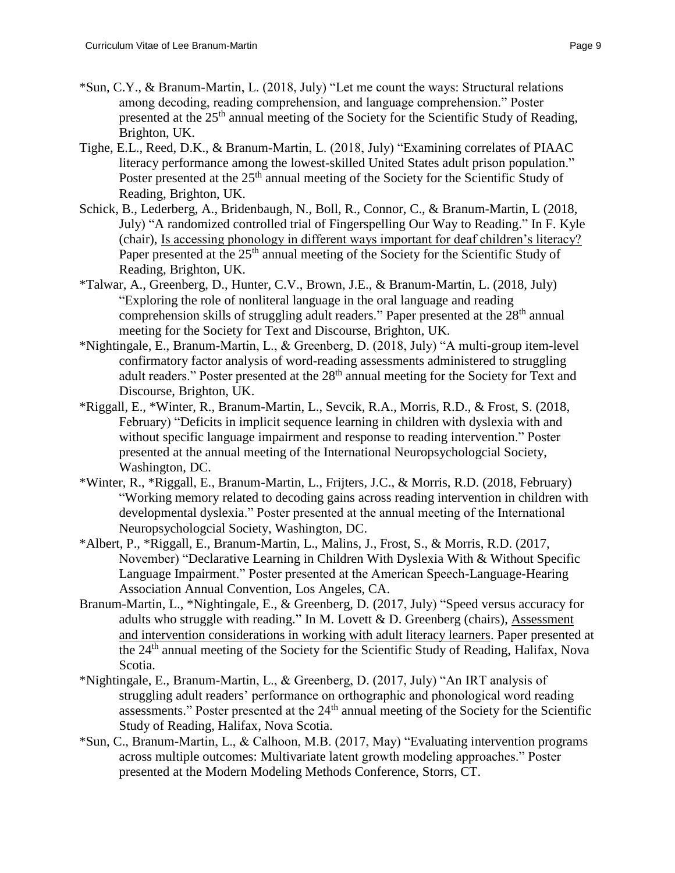- \*Sun, C.Y., & Branum-Martin, L. (2018, July) "Let me count the ways: Structural relations among decoding, reading comprehension, and language comprehension." Poster presented at the 25<sup>th</sup> annual meeting of the Society for the Scientific Study of Reading, Brighton, UK.
- Tighe, E.L., Reed, D.K., & Branum-Martin, L. (2018, July) "Examining correlates of PIAAC literacy performance among the lowest-skilled United States adult prison population." Poster presented at the 25<sup>th</sup> annual meeting of the Society for the Scientific Study of Reading, Brighton, UK.
- Schick, B., Lederberg, A., Bridenbaugh, N., Boll, R., Connor, C., & Branum-Martin, L (2018, July) "A randomized controlled trial of Fingerspelling Our Way to Reading." In F. Kyle (chair), Is accessing phonology in different ways important for deaf children's literacy? Paper presented at the 25<sup>th</sup> annual meeting of the Society for the Scientific Study of Reading, Brighton, UK.
- \*Talwar, A., Greenberg, D., Hunter, C.V., Brown, J.E., & Branum-Martin, L. (2018, July) "Exploring the role of nonliteral language in the oral language and reading comprehension skills of struggling adult readers." Paper presented at the  $28<sup>th</sup>$  annual meeting for the Society for Text and Discourse, Brighton, UK.
- \*Nightingale, E., Branum-Martin, L., & Greenberg, D. (2018, July) "A multi-group item-level confirmatory factor analysis of word-reading assessments administered to struggling adult readers." Poster presented at the 28<sup>th</sup> annual meeting for the Society for Text and Discourse, Brighton, UK.
- \*Riggall, E., \*Winter, R., Branum-Martin, L., Sevcik, R.A., Morris, R.D., & Frost, S. (2018, February) "Deficits in implicit sequence learning in children with dyslexia with and without specific language impairment and response to reading intervention." Poster presented at the annual meeting of the International Neuropsychologcial Society, Washington, DC.
- \*Winter, R., \*Riggall, E., Branum-Martin, L., Frijters, J.C., & Morris, R.D. (2018, February) "Working memory related to decoding gains across reading intervention in children with developmental dyslexia." Poster presented at the annual meeting of the International Neuropsychologcial Society, Washington, DC.
- \*Albert, P., \*Riggall, E., Branum-Martin, L., Malins, J., Frost, S., & Morris, R.D. (2017, November) "Declarative Learning in Children With Dyslexia With & Without Specific Language Impairment." Poster presented at the American Speech-Language-Hearing Association Annual Convention, Los Angeles, CA.
- Branum-Martin, L., \*Nightingale, E., & Greenberg, D. (2017, July) "Speed versus accuracy for adults who struggle with reading." In M. Lovett  $& D$ . Greenberg (chairs), Assessment and intervention considerations in working with adult literacy learners. Paper presented at the 24<sup>th</sup> annual meeting of the Society for the Scientific Study of Reading, Halifax, Nova Scotia.
- \*Nightingale, E., Branum-Martin, L., & Greenberg, D. (2017, July) "An IRT analysis of struggling adult readers' performance on orthographic and phonological word reading assessments." Poster presented at the  $24<sup>th</sup>$  annual meeting of the Society for the Scientific Study of Reading, Halifax, Nova Scotia.
- \*Sun, C., Branum-Martin, L., & Calhoon, M.B. (2017, May) "Evaluating intervention programs across multiple outcomes: Multivariate latent growth modeling approaches." Poster presented at the Modern Modeling Methods Conference, Storrs, CT.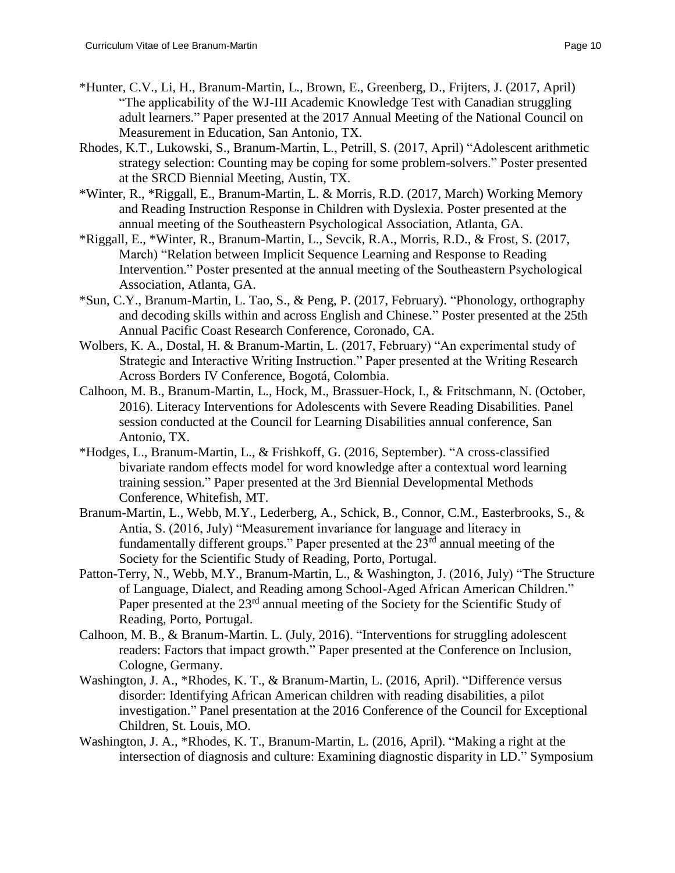- \*Hunter, C.V., Li, H., Branum-Martin, L., Brown, E., Greenberg, D., Frijters, J. (2017, April) "The applicability of the WJ-III Academic Knowledge Test with Canadian struggling adult learners." Paper presented at the 2017 Annual Meeting of the National Council on Measurement in Education, San Antonio, TX.
- Rhodes, K.T., Lukowski, S., Branum-Martin, L., Petrill, S. (2017, April) "Adolescent arithmetic strategy selection: Counting may be coping for some problem-solvers." Poster presented at the SRCD Biennial Meeting, Austin, TX.
- \*Winter, R., \*Riggall, E., Branum-Martin, L. & Morris, R.D. (2017, March) Working Memory and Reading Instruction Response in Children with Dyslexia. Poster presented at the annual meeting of the Southeastern Psychological Association, Atlanta, GA.
- \*Riggall, E., \*Winter, R., Branum-Martin, L., Sevcik, R.A., Morris, R.D., & Frost, S. (2017, March) "Relation between Implicit Sequence Learning and Response to Reading Intervention." Poster presented at the annual meeting of the Southeastern Psychological Association, Atlanta, GA.
- \*Sun, C.Y., Branum-Martin, L. Tao, S., & Peng, P. (2017, February). "Phonology, orthography and decoding skills within and across English and Chinese." Poster presented at the 25th Annual Pacific Coast Research Conference, Coronado, CA.
- Wolbers, K. A., Dostal, H. & Branum-Martin, L. (2017, February) "An experimental study of Strategic and Interactive Writing Instruction." Paper presented at the Writing Research Across Borders IV Conference, Bogotá, Colombia.
- Calhoon, M. B., Branum-Martin, L., Hock, M., Brassuer-Hock, I., & Fritschmann, N. (October, 2016). Literacy Interventions for Adolescents with Severe Reading Disabilities. Panel session conducted at the Council for Learning Disabilities annual conference, San Antonio, TX.
- \*Hodges, L., Branum-Martin, L., & Frishkoff, G. (2016, September). "A cross-classified bivariate random effects model for word knowledge after a contextual word learning training session." Paper presented at the 3rd Biennial Developmental Methods Conference, Whitefish, MT.
- Branum-Martin, L., Webb, M.Y., Lederberg, A., Schick, B., Connor, C.M., Easterbrooks, S., & Antia, S. (2016, July) "Measurement invariance for language and literacy in fundamentally different groups." Paper presented at the  $23<sup>rd</sup>$  annual meeting of the Society for the Scientific Study of Reading, Porto, Portugal.
- Patton-Terry, N., Webb, M.Y., Branum-Martin, L., & Washington, J. (2016, July) "The Structure of Language, Dialect, and Reading among School-Aged African American Children." Paper presented at the  $23<sup>rd</sup>$  annual meeting of the Society for the Scientific Study of Reading, Porto, Portugal.
- Calhoon, M. B., & Branum-Martin. L. (July, 2016). "Interventions for struggling adolescent readers: Factors that impact growth." Paper presented at the Conference on Inclusion, Cologne, Germany.
- Washington, J. A., \*Rhodes, K. T., & Branum-Martin, L. (2016, April). "Difference versus disorder: Identifying African American children with reading disabilities, a pilot investigation." Panel presentation at the 2016 Conference of the Council for Exceptional Children, St. Louis, MO.
- Washington, J. A., \*Rhodes, K. T., Branum-Martin, L. (2016, April). "Making a right at the intersection of diagnosis and culture: Examining diagnostic disparity in LD." Symposium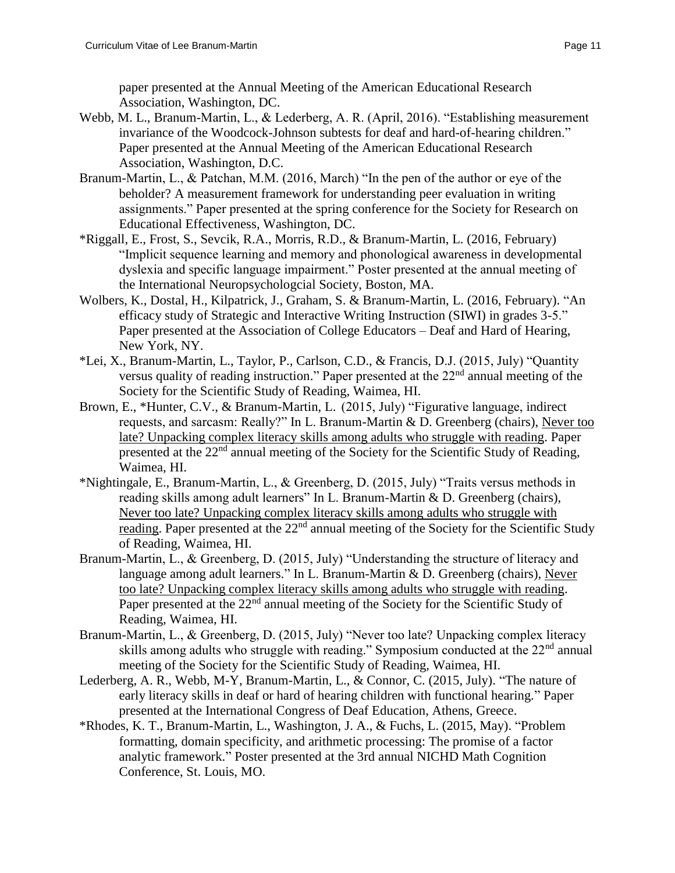paper presented at the Annual Meeting of the American Educational Research Association, Washington, DC.

- Webb, M. L., Branum-Martin, L., & Lederberg, A. R. (April, 2016). "Establishing measurement invariance of the Woodcock-Johnson subtests for deaf and hard-of-hearing children." Paper presented at the Annual Meeting of the American Educational Research Association, Washington, D.C.
- Branum-Martin, L., & Patchan, M.M. (2016, March) "In the pen of the author or eye of the beholder? A measurement framework for understanding peer evaluation in writing assignments." Paper presented at the spring conference for the Society for Research on Educational Effectiveness, Washington, DC.
- \*Riggall, E., Frost, S., Sevcik, R.A., Morris, R.D., & Branum-Martin, L. (2016, February) "Implicit sequence learning and memory and phonological awareness in developmental dyslexia and specific language impairment." Poster presented at the annual meeting of the International Neuropsychologcial Society, Boston, MA.
- Wolbers, K., Dostal, H., Kilpatrick, J., Graham, S. & Branum-Martin, L. (2016, February). "An efficacy study of Strategic and Interactive Writing Instruction (SIWI) in grades 3-5." Paper presented at the Association of College Educators – Deaf and Hard of Hearing, New York, NY.
- \*Lei, X., Branum-Martin, L., Taylor, P., Carlson, C.D., & Francis, D.J. (2015, July) "Quantity versus quality of reading instruction." Paper presented at the  $22<sup>nd</sup>$  annual meeting of the Society for the Scientific Study of Reading, Waimea, HI.
- Brown, E., \*Hunter, C.V., & Branum-Martin, L. (2015, July) "Figurative language, indirect requests, and sarcasm: Really?" In L. Branum-Martin & D. Greenberg (chairs), Never too late? Unpacking complex literacy skills among adults who struggle with reading. Paper presented at the 22nd annual meeting of the Society for the Scientific Study of Reading, Waimea, HI.
- \*Nightingale, E., Branum-Martin, L., & Greenberg, D. (2015, July) "Traits versus methods in reading skills among adult learners" In L. Branum-Martin & D. Greenberg (chairs), Never too late? Unpacking complex literacy skills among adults who struggle with reading. Paper presented at the  $22<sup>nd</sup>$  annual meeting of the Society for the Scientific Study of Reading, Waimea, HI.
- Branum-Martin, L., & Greenberg, D. (2015, July) "Understanding the structure of literacy and language among adult learners." In L. Branum-Martin & D. Greenberg (chairs), Never too late? Unpacking complex literacy skills among adults who struggle with reading. Paper presented at the 22<sup>nd</sup> annual meeting of the Society for the Scientific Study of Reading, Waimea, HI.
- Branum-Martin, L., & Greenberg, D. (2015, July) "Never too late? Unpacking complex literacy skills among adults who struggle with reading." Symposium conducted at the  $22<sup>nd</sup>$  annual meeting of the Society for the Scientific Study of Reading, Waimea, HI.
- Lederberg, A. R., Webb, M-Y, Branum-Martin, L., & Connor, C. (2015, July). "The nature of early literacy skills in deaf or hard of hearing children with functional hearing*.*" Paper presented at the International Congress of Deaf Education, Athens, Greece.
- \*Rhodes, K. T., Branum-Martin, L., Washington, J. A., & Fuchs, L. (2015, May). "Problem formatting, domain specificity, and arithmetic processing: The promise of a factor analytic framework." Poster presented at the 3rd annual NICHD Math Cognition Conference, St. Louis, MO.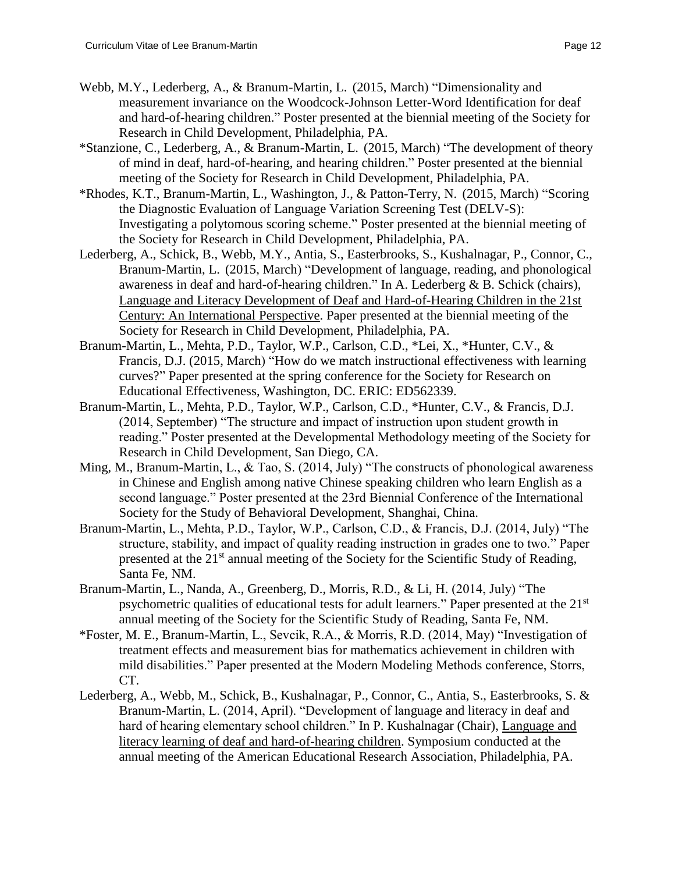- Webb, M.Y., Lederberg, A., & Branum-Martin, L. (2015, March) "Dimensionality and measurement invariance on the Woodcock-Johnson Letter-Word Identification for deaf and hard-of-hearing children." Poster presented at the biennial meeting of the Society for Research in Child Development, Philadelphia, PA.
- \*Stanzione, C., Lederberg, A., & Branum-Martin, L. (2015, March) "The development of theory of mind in deaf, hard-of-hearing, and hearing children." Poster presented at the biennial meeting of the Society for Research in Child Development, Philadelphia, PA.
- \*Rhodes, K.T., Branum-Martin, L., Washington, J., & Patton-Terry, N. (2015, March) "Scoring the Diagnostic Evaluation of Language Variation Screening Test (DELV-S): Investigating a polytomous scoring scheme." Poster presented at the biennial meeting of the Society for Research in Child Development, Philadelphia, PA.
- Lederberg, A., Schick, B., Webb, M.Y., Antia, S., Easterbrooks, S., Kushalnagar, P., Connor, C., Branum-Martin, L. (2015, March) "Development of language, reading, and phonological awareness in deaf and hard-of-hearing children." In A. Lederberg & B. Schick (chairs), Language and Literacy Development of Deaf and Hard-of-Hearing Children in the 21st Century: An International Perspective. Paper presented at the biennial meeting of the Society for Research in Child Development, Philadelphia, PA.
- Branum-Martin, L., Mehta, P.D., Taylor, W.P., Carlson, C.D., \*Lei, X., \*Hunter, C.V., & Francis, D.J. (2015, March) "How do we match instructional effectiveness with learning curves?" Paper presented at the spring conference for the Society for Research on Educational Effectiveness, Washington, DC. ERIC: ED562339.
- Branum-Martin, L., Mehta, P.D., Taylor, W.P., Carlson, C.D., \*Hunter, C.V., & Francis, D.J. (2014, September) "The structure and impact of instruction upon student growth in reading." Poster presented at the Developmental Methodology meeting of the Society for Research in Child Development, San Diego, CA.
- Ming, M., Branum-Martin, L., & Tao, S. (2014, July) "The constructs of phonological awareness in Chinese and English among native Chinese speaking children who learn English as a second language." Poster presented at the 23rd Biennial Conference of the International Society for the Study of Behavioral Development, Shanghai, China.
- Branum-Martin, L., Mehta, P.D., Taylor, W.P., Carlson, C.D., & Francis, D.J. (2014, July) "The structure, stability, and impact of quality reading instruction in grades one to two." Paper presented at the 21<sup>st</sup> annual meeting of the Society for the Scientific Study of Reading, Santa Fe, NM.
- Branum-Martin, L., Nanda, A., Greenberg, D., Morris, R.D., & Li, H. (2014, July) "The psychometric qualities of educational tests for adult learners." Paper presented at the 21<sup>st</sup> annual meeting of the Society for the Scientific Study of Reading, Santa Fe, NM.
- \*Foster, M. E., Branum-Martin, L., Sevcik, R.A., & Morris, R.D. (2014, May) "Investigation of treatment effects and measurement bias for mathematics achievement in children with mild disabilities." Paper presented at the Modern Modeling Methods conference, Storrs, CT.
- Lederberg, A., Webb, M., Schick, B., Kushalnagar, P., Connor, C., Antia, S., Easterbrooks, S. & Branum-Martin, L. (2014, April). "Development of language and literacy in deaf and hard of hearing elementary school children." In P. Kushalnagar (Chair), Language and literacy learning of deaf and hard-of-hearing children. Symposium conducted at the annual meeting of the American Educational Research Association, Philadelphia, PA.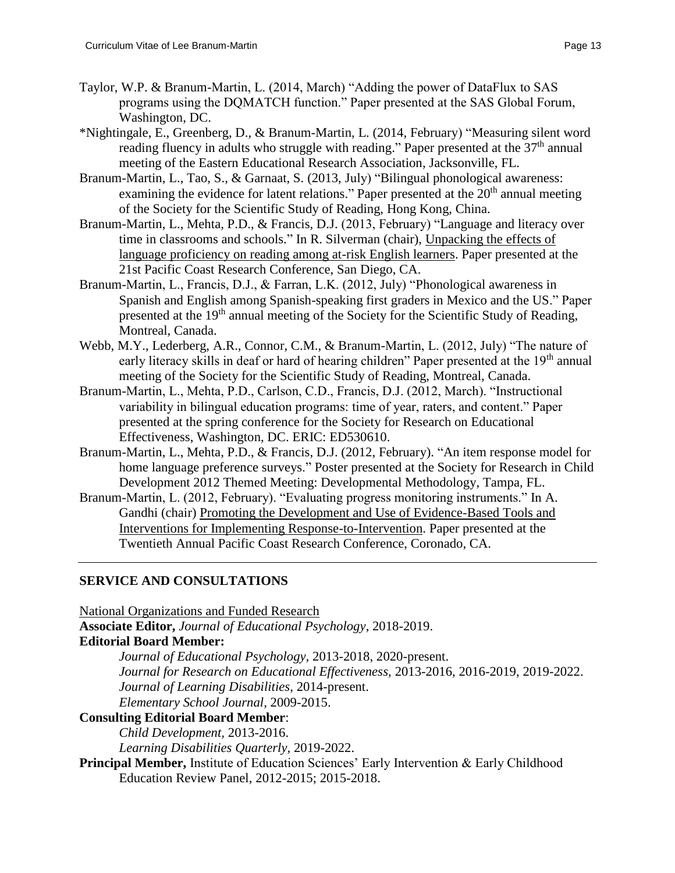- Taylor, W.P. & Branum-Martin, L. (2014, March) "Adding the power of DataFlux to SAS programs using the DQMATCH function." Paper presented at the SAS Global Forum, Washington, DC.
- \*Nightingale, E., Greenberg, D., & Branum-Martin, L. (2014, February) "Measuring silent word reading fluency in adults who struggle with reading." Paper presented at the  $37<sup>th</sup>$  annual meeting of the Eastern Educational Research Association, Jacksonville, FL.
- Branum-Martin, L., Tao, S., & Garnaat, S. (2013, July) "Bilingual phonological awareness: examining the evidence for latent relations." Paper presented at the  $20<sup>th</sup>$  annual meeting of the Society for the Scientific Study of Reading, Hong Kong, China.
- Branum-Martin, L., Mehta, P.D., & Francis, D.J. (2013, February) "Language and literacy over time in classrooms and schools." In R. Silverman (chair), Unpacking the effects of language proficiency on reading among at-risk English learners. Paper presented at the 21st Pacific Coast Research Conference, San Diego, CA.
- Branum-Martin, L., Francis, D.J., & Farran, L.K. (2012, July) "Phonological awareness in Spanish and English among Spanish-speaking first graders in Mexico and the US." Paper presented at the 19<sup>th</sup> annual meeting of the Society for the Scientific Study of Reading, Montreal, Canada.
- Webb, M.Y., Lederberg, A.R., Connor, C.M., & Branum-Martin, L. (2012, July) "The nature of early literacy skills in deaf or hard of hearing children" Paper presented at the 19<sup>th</sup> annual meeting of the Society for the Scientific Study of Reading, Montreal, Canada.
- Branum-Martin, L., Mehta, P.D., Carlson, C.D., Francis, D.J. (2012, March). "Instructional variability in bilingual education programs: time of year, raters, and content." Paper presented at the spring conference for the Society for Research on Educational Effectiveness, Washington, DC. ERIC: ED530610.
- Branum-Martin, L., Mehta, P.D., & Francis, D.J. (2012, February). "An item response model for home language preference surveys." Poster presented at the Society for Research in Child Development 2012 Themed Meeting: Developmental Methodology, Tampa, FL.
- Branum-Martin, L. (2012, February). "Evaluating progress monitoring instruments." In A. Gandhi (chair) Promoting the Development and Use of Evidence-Based Tools and Interventions for Implementing Response-to-Intervention. Paper presented at the Twentieth Annual Pacific Coast Research Conference, Coronado, CA.

## **SERVICE AND CONSULTATIONS**

National Organizations and Funded Research

**Associate Editor,** *Journal of Educational Psychology*, 2018-2019.

## **Editorial Board Member:**

*Journal of Educational Psychology,* 2013-2018, 2020-present.

*Journal for Research on Educational Effectiveness,* 2013-2016, 2016-2019, 2019-2022. *Journal of Learning Disabilities,* 2014-present. *Elementary School Journal,* 2009-2015.

# **Consulting Editorial Board Member**:

*Child Development,* 2013-2016.

*Learning Disabilities Quarterly,* 2019-2022.

**Principal Member, Institute of Education Sciences' Early Intervention & Early Childhood** Education Review Panel, 2012-2015; 2015-2018.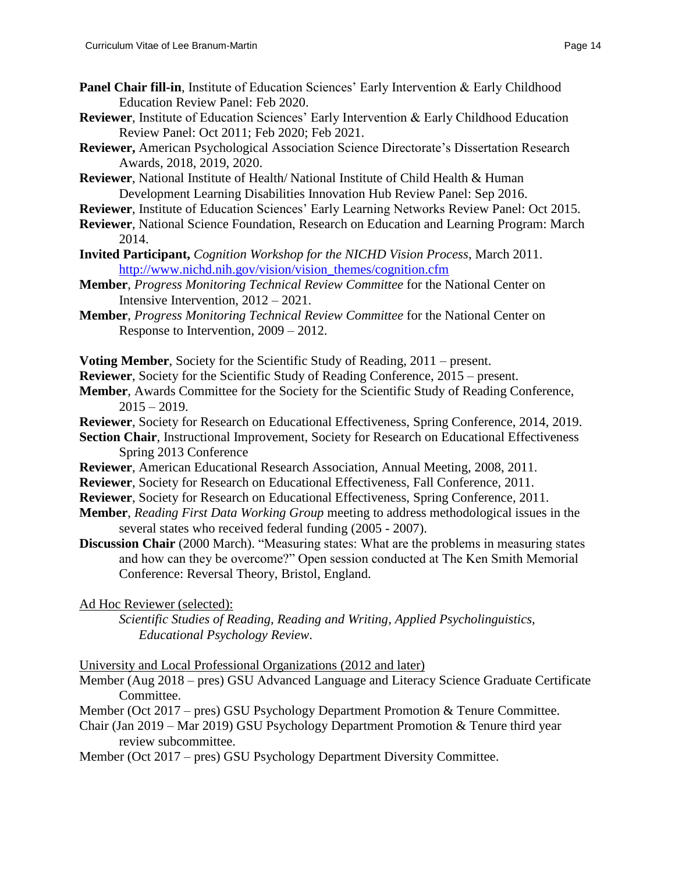- **Panel Chair fill-in**, Institute of Education Sciences' Early Intervention & Early Childhood Education Review Panel: Feb 2020.
- **Reviewer**, Institute of Education Sciences' Early Intervention & Early Childhood Education Review Panel: Oct 2011; Feb 2020; Feb 2021.
- **Reviewer,** American Psychological Association Science Directorate's Dissertation Research Awards, 2018, 2019, 2020.
- **Reviewer**, National Institute of Health/ National Institute of Child Health & Human Development Learning Disabilities Innovation Hub Review Panel: Sep 2016.
- **Reviewer**, Institute of Education Sciences' Early Learning Networks Review Panel: Oct 2015.
- **Reviewer**, National Science Foundation, Research on Education and Learning Program: March 2014.
- **Invited Participant,** *Cognition Workshop for the NICHD Vision Process*, March 2011. [http://www.nichd.nih.gov/vision/vision\\_themes/cognition.cfm](http://www.nichd.nih.gov/vision/vision_themes/cognition.cfm)
- **Member**, *Progress Monitoring Technical Review Committee* for the National Center on Intensive Intervention, 2012 – 2021.
- **Member**, *Progress Monitoring Technical Review Committee* for the National Center on Response to Intervention, 2009 – 2012.
- **Voting Member,** Society for the Scientific Study of Reading, 2011 present.
- **Reviewer**, Society for the Scientific Study of Reading Conference, 2015 present.
- **Member**, Awards Committee for the Society for the Scientific Study of Reading Conference,  $2015 - 2019$ .
- **Reviewer**, Society for Research on Educational Effectiveness, Spring Conference, 2014, 2019.
- **Section Chair**, Instructional Improvement, Society for Research on Educational Effectiveness Spring 2013 Conference
- **Reviewer**, American Educational Research Association, Annual Meeting, 2008, 2011.
- **Reviewer**, Society for Research on Educational Effectiveness, Fall Conference, 2011.
- **Reviewer**, Society for Research on Educational Effectiveness, Spring Conference, 2011.
- **Member**, *Reading First Data Working Group* meeting to address methodological issues in the several states who received federal funding (2005 - 2007).
- **Discussion Chair** (2000 March). "Measuring states: What are the problems in measuring states and how can they be overcome?" Open session conducted at The Ken Smith Memorial Conference: Reversal Theory, Bristol, England.

Ad Hoc Reviewer (selected):

*Scientific Studies of Reading, Reading and Writing, Applied Psycholinguistics, Educational Psychology Review*.

University and Local Professional Organizations (2012 and later)

- Member (Aug 2018 pres) GSU Advanced Language and Literacy Science Graduate Certificate Committee.
- Member (Oct 2017 pres) GSU Psychology Department Promotion & Tenure Committee.
- Chair (Jan 2019 Mar 2019) GSU Psychology Department Promotion & Tenure third year review subcommittee.

Member (Oct 2017 – pres) GSU Psychology Department Diversity Committee.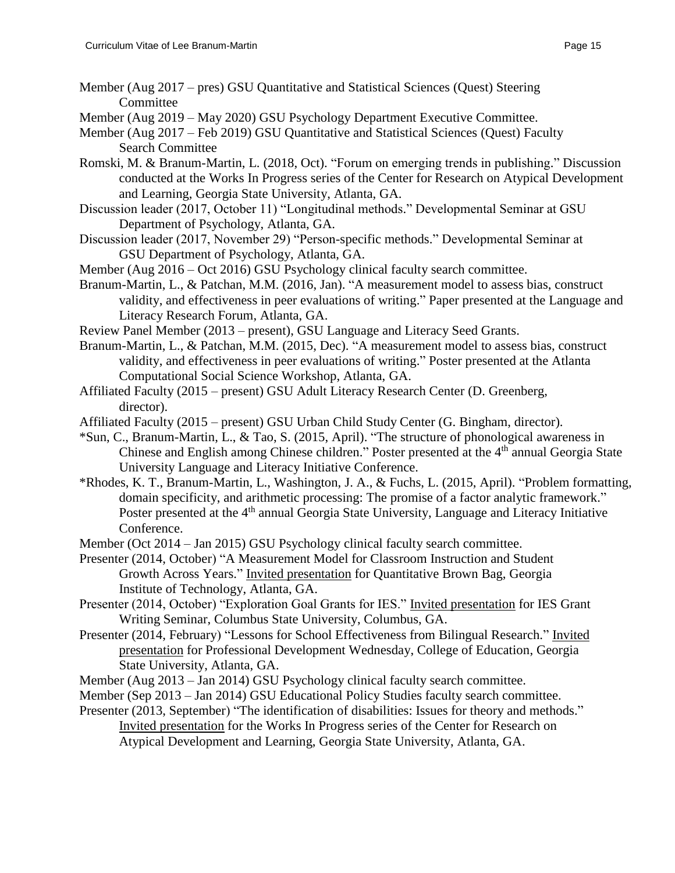- Member (Aug 2017 pres) GSU Quantitative and Statistical Sciences (Quest) Steering Committee
- Member (Aug 2019 May 2020) GSU Psychology Department Executive Committee.
- Member (Aug 2017 Feb 2019) GSU Quantitative and Statistical Sciences (Quest) Faculty Search Committee
- Romski, M. & Branum-Martin, L. (2018, Oct). "Forum on emerging trends in publishing." Discussion conducted at the Works In Progress series of the Center for Research on Atypical Development and Learning, Georgia State University, Atlanta, GA.
- Discussion leader (2017, October 11) "Longitudinal methods." Developmental Seminar at GSU Department of Psychology, Atlanta, GA.
- Discussion leader (2017, November 29) "Person-specific methods." Developmental Seminar at GSU Department of Psychology, Atlanta, GA.
- Member (Aug 2016 Oct 2016) GSU Psychology clinical faculty search committee.
- Branum-Martin, L., & Patchan, M.M. (2016, Jan). "A measurement model to assess bias, construct validity, and effectiveness in peer evaluations of writing." Paper presented at the Language and Literacy Research Forum, Atlanta, GA.
- Review Panel Member (2013 present), GSU Language and Literacy Seed Grants.
- Branum-Martin, L., & Patchan, M.M. (2015, Dec). "A measurement model to assess bias, construct validity, and effectiveness in peer evaluations of writing." Poster presented at the Atlanta Computational Social Science Workshop, Atlanta, GA.
- Affiliated Faculty (2015 present) GSU Adult Literacy Research Center (D. Greenberg, director).
- Affiliated Faculty (2015 present) GSU Urban Child Study Center (G. Bingham, director).
- \*Sun, C., Branum-Martin, L., & Tao, S. (2015, April). "The structure of phonological awareness in Chinese and English among Chinese children." Poster presented at the 4<sup>th</sup> annual Georgia State University Language and Literacy Initiative Conference.
- \*Rhodes, K. T., Branum-Martin, L., Washington, J. A., & Fuchs, L. (2015, April). "Problem formatting, domain specificity, and arithmetic processing: The promise of a factor analytic framework." Poster presented at the 4<sup>th</sup> annual Georgia State University, Language and Literacy Initiative Conference.
- Member (Oct 2014 Jan 2015) GSU Psychology clinical faculty search committee.
- Presenter (2014, October) "A Measurement Model for Classroom Instruction and Student Growth Across Years." Invited presentation for Quantitative Brown Bag, Georgia Institute of Technology, Atlanta, GA.
- Presenter (2014, October) "Exploration Goal Grants for IES." Invited presentation for IES Grant Writing Seminar, Columbus State University, Columbus, GA.
- Presenter (2014, February) "Lessons for School Effectiveness from Bilingual Research." Invited presentation for Professional Development Wednesday, College of Education, Georgia State University, Atlanta, GA.
- Member (Aug 2013 Jan 2014) GSU Psychology clinical faculty search committee.
- Member (Sep 2013 Jan 2014) GSU Educational Policy Studies faculty search committee.
- Presenter (2013, September) "The identification of disabilities: Issues for theory and methods." Invited presentation for the Works In Progress series of the Center for Research on Atypical Development and Learning, Georgia State University, Atlanta, GA.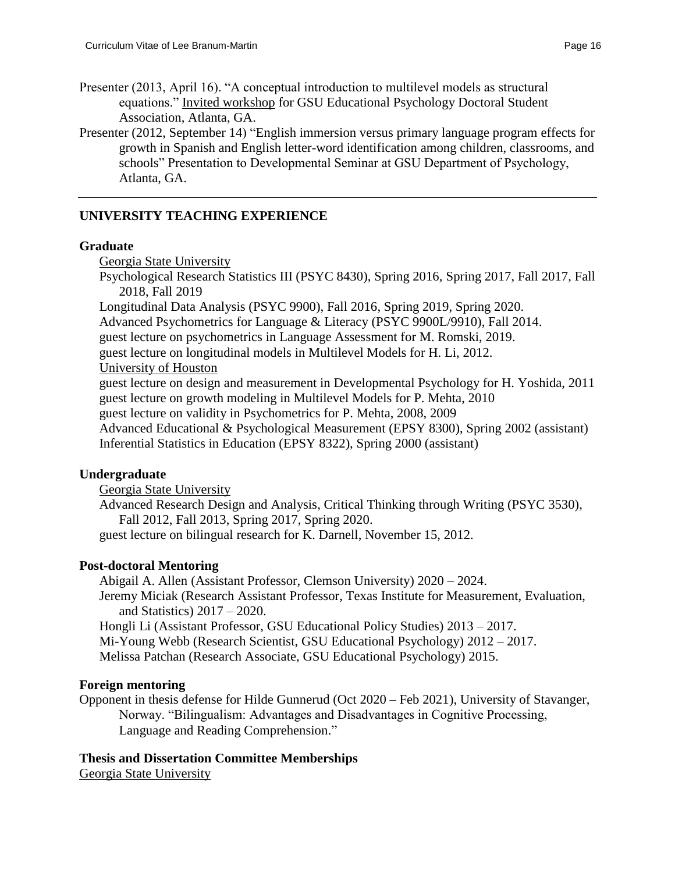- Presenter (2013, April 16). "A conceptual introduction to multilevel models as structural equations." Invited workshop for GSU Educational Psychology Doctoral Student Association, Atlanta, GA.
- Presenter (2012, September 14) "English immersion versus primary language program effects for growth in Spanish and English letter-word identification among children, classrooms, and schools" Presentation to Developmental Seminar at GSU Department of Psychology, Atlanta, GA.

## **UNIVERSITY TEACHING EXPERIENCE**

#### **Graduate**

Georgia State University

Psychological Research Statistics III (PSYC 8430), Spring 2016, Spring 2017, Fall 2017, Fall 2018, Fall 2019

Longitudinal Data Analysis (PSYC 9900), Fall 2016, Spring 2019, Spring 2020.

Advanced Psychometrics for Language & Literacy (PSYC 9900L/9910), Fall 2014.

guest lecture on psychometrics in Language Assessment for M. Romski, 2019.

guest lecture on longitudinal models in Multilevel Models for H. Li, 2012.

#### University of Houston

guest lecture on design and measurement in Developmental Psychology for H. Yoshida, 2011 guest lecture on growth modeling in Multilevel Models for P. Mehta, 2010

guest lecture on validity in Psychometrics for P. Mehta, 2008, 2009

Advanced Educational & Psychological Measurement (EPSY 8300), Spring 2002 (assistant) Inferential Statistics in Education (EPSY 8322), Spring 2000 (assistant)

### **Undergraduate**

Georgia State University

Advanced Research Design and Analysis, Critical Thinking through Writing (PSYC 3530), Fall 2012, Fall 2013, Spring 2017, Spring 2020. guest lecture on bilingual research for K. Darnell, November 15, 2012.

### **Post-doctoral Mentoring**

Abigail A. Allen (Assistant Professor, Clemson University) 2020 – 2024. Jeremy Miciak (Research Assistant Professor, Texas Institute for Measurement, Evaluation, and Statistics) 2017 – 2020. Hongli Li (Assistant Professor, GSU Educational Policy Studies) 2013 – 2017. Mi-Young Webb (Research Scientist, GSU Educational Psychology) 2012 – 2017. Melissa Patchan (Research Associate, GSU Educational Psychology) 2015.

### **Foreign mentoring**

Opponent in thesis defense for Hilde Gunnerud (Oct 2020 – Feb 2021), University of Stavanger, Norway. "Bilingualism: Advantages and Disadvantages in Cognitive Processing, Language and Reading Comprehension."

### **Thesis and Dissertation Committee Memberships**

Georgia State University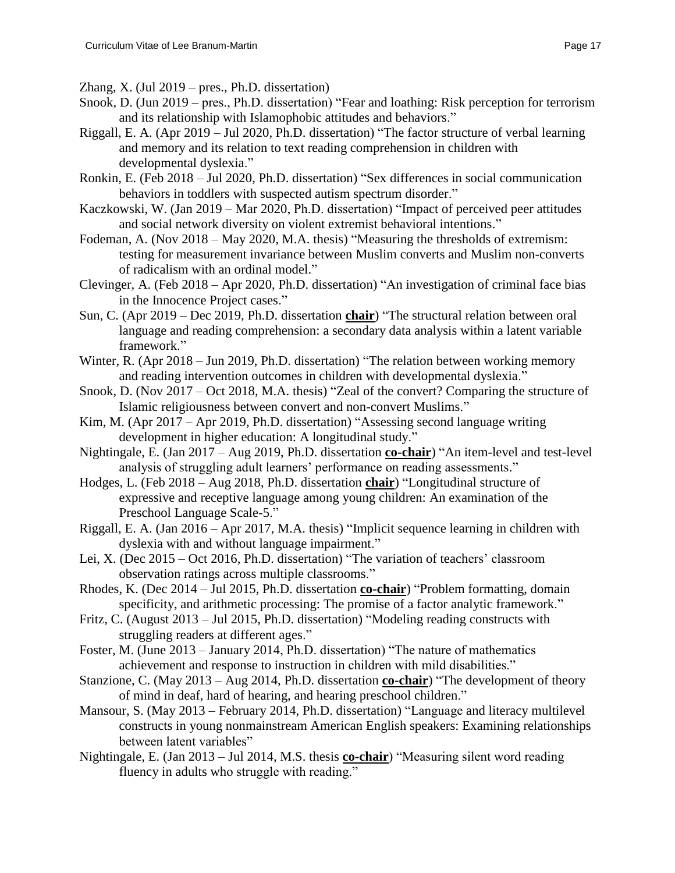Zhang, X. (Jul 2019 – pres., Ph.D. dissertation)

- Snook, D. (Jun 2019 pres., Ph.D. dissertation) "Fear and loathing: Risk perception for terrorism and its relationship with Islamophobic attitudes and behaviors."
- Riggall, E. A. (Apr 2019 Jul 2020, Ph.D. dissertation) "The factor structure of verbal learning and memory and its relation to text reading comprehension in children with developmental dyslexia."
- Ronkin, E. (Feb 2018 Jul 2020, Ph.D. dissertation) "Sex differences in social communication behaviors in toddlers with suspected autism spectrum disorder."
- Kaczkowski, W. (Jan 2019 Mar 2020, Ph.D. dissertation) "Impact of perceived peer attitudes and social network diversity on violent extremist behavioral intentions."
- Fodeman, A. (Nov 2018 May 2020, M.A. thesis) "Measuring the thresholds of extremism: testing for measurement invariance between Muslim converts and Muslim non-converts of radicalism with an ordinal model."
- Clevinger, A. (Feb 2018 Apr 2020, Ph.D. dissertation) "An investigation of criminal face bias in the Innocence Project cases."
- Sun, C. (Apr 2019 Dec 2019, Ph.D. dissertation **chair**) "The structural relation between oral language and reading comprehension: a secondary data analysis within a latent variable framework."
- Winter, R. (Apr 2018 Jun 2019, Ph.D. dissertation) "The relation between working memory and reading intervention outcomes in children with developmental dyslexia."
- Snook, D. (Nov 2017 Oct 2018, M.A. thesis) "Zeal of the convert? Comparing the structure of Islamic religiousness between convert and non-convert Muslims."
- Kim, M. (Apr 2017 Apr 2019, Ph.D. dissertation) "Assessing second language writing development in higher education: A longitudinal study."
- Nightingale, E. (Jan 2017 Aug 2019, Ph.D. dissertation **co-chair**) "An item-level and test-level analysis of struggling adult learners' performance on reading assessments."
- Hodges, L. (Feb 2018 Aug 2018, Ph.D. dissertation **chair**) "Longitudinal structure of expressive and receptive language among young children: An examination of the Preschool Language Scale-5."
- Riggall, E. A. (Jan 2016 Apr 2017, M.A. thesis) "Implicit sequence learning in children with dyslexia with and without language impairment."
- Lei, X. (Dec 2015 Oct 2016, Ph.D. dissertation) "The variation of teachers' classroom observation ratings across multiple classrooms."
- Rhodes, K. (Dec 2014 Jul 2015, Ph.D. dissertation **co-chair**) "Problem formatting, domain specificity, and arithmetic processing: The promise of a factor analytic framework."
- Fritz, C. (August 2013 Jul 2015, Ph.D. dissertation) "Modeling reading constructs with struggling readers at different ages."
- Foster, M. (June 2013 January 2014, Ph.D. dissertation) "The nature of mathematics achievement and response to instruction in children with mild disabilities."
- Stanzione, C. (May 2013 Aug 2014, Ph.D. dissertation **co-chair**) "The development of theory of mind in deaf, hard of hearing, and hearing preschool children."
- Mansour, S. (May 2013 February 2014, Ph.D. dissertation) "Language and literacy multilevel constructs in young nonmainstream American English speakers: Examining relationships between latent variables"
- Nightingale, E. (Jan 2013 Jul 2014, M.S. thesis **co-chair**) "Measuring silent word reading fluency in adults who struggle with reading."